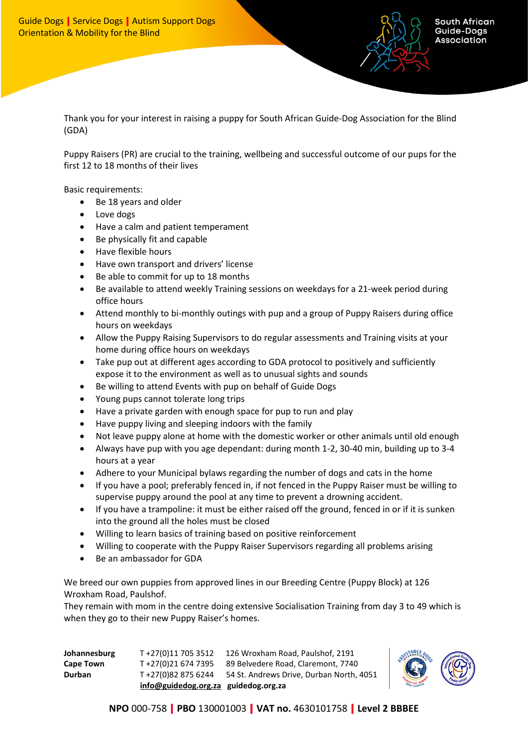

Thank you for your interest in raising a puppy for South African Guide-Dog Association for the Blind (GDA)

Puppy Raisers (PR) are crucial to the training, wellbeing and successful outcome of our pups for the first 12 to 18 months of their lives

Basic requirements:

- Be 18 years and older
- Love dogs
- Have a calm and patient temperament
- Be physically fit and capable
- Have flexible hours
- Have own transport and drivers' license
- Be able to commit for up to 18 months
- Be available to attend weekly Training sessions on weekdays for a 21-week period during office hours
- Attend monthly to bi-monthly outings with pup and a group of Puppy Raisers during office hours on weekdays
- Allow the Puppy Raising Supervisors to do regular assessments and Training visits at your home during office hours on weekdays
- Take pup out at different ages according to GDA protocol to positively and sufficiently expose it to the environment as well as to unusual sights and sounds
- Be willing to attend Events with pup on behalf of Guide Dogs
- Young pups cannot tolerate long trips
- Have a private garden with enough space for pup to run and play
- Have puppy living and sleeping indoors with the family
- Not leave puppy alone at home with the domestic worker or other animals until old enough
- Always have pup with you age dependant: during month 1-2, 30-40 min, building up to 3-4 hours at a year
- Adhere to your Municipal bylaws regarding the number of dogs and cats in the home
- If you have a pool; preferably fenced in, if not fenced in the Puppy Raiser must be willing to supervise puppy around the pool at any time to prevent a drowning accident.
- If you have a trampoline: it must be either raised off the ground, fenced in or if it is sunken into the ground all the holes must be closed
- Willing to learn basics of training based on positive reinforcement
- Willing to cooperate with the Puppy Raiser Supervisors regarding all problems arising
- Be an ambassador for GDA

We breed our own puppies from approved lines in our Breeding Centre (Puppy Block) at 126 Wroxham Road, Paulshof.

They remain with mom in the centre doing extensive Socialisation Training from day 3 to 49 which is when they go to their new Puppy Raiser's homes.

|                  | info@guidedog.org.za guidedog.org.za |                                          |
|------------------|--------------------------------------|------------------------------------------|
| <b>Durban</b>    | T +27(0)82 875 6244                  | 54 St. Andrews Drive, Durban North, 4051 |
| <b>Cape Town</b> | T+27(0)21 674 7395                   | 89 Belvedere Road, Claremont, 7740       |
| Johannesburg     | T+27(0)11 705 3512                   | 126 Wroxham Road, Paulshof, 2191         |



**NPO** 000-758 **PBO** 130001003 **VAT no.** 4630101758 **Level 2 BBBEE**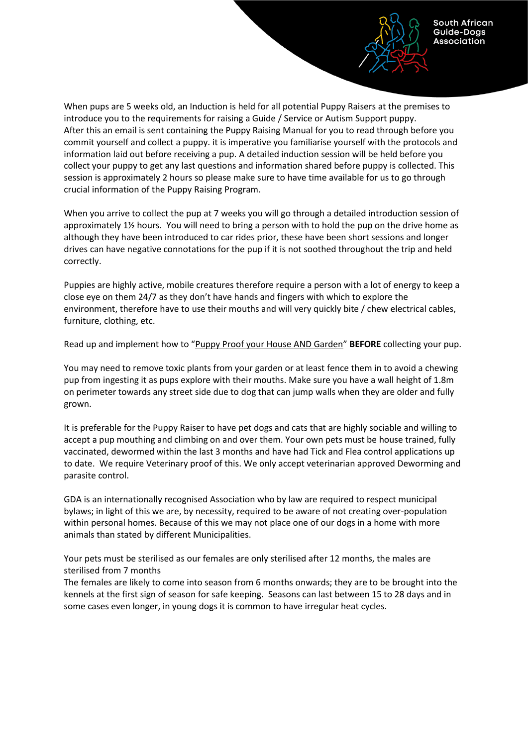When pups are 5 weeks old, an Induction is held for all potential Puppy Raisers at the premises to introduce you to the requirements for raising a Guide / Service or Autism Support puppy. After this an email is sent containing the Puppy Raising Manual for you to read through before you commit yourself and collect a puppy. it is imperative you familiarise yourself with the protocols and information laid out before receiving a pup. A detailed induction session will be held before you collect your puppy to get any last questions and information shared before puppy is collected. This session is approximately 2 hours so please make sure to have time available for us to go through crucial information of the Puppy Raising Program.

South African Guide-Dogs Association

When you arrive to collect the pup at 7 weeks you will go through a detailed introduction session of approximately 1½ hours. You will need to bring a person with to hold the pup on the drive home as although they have been introduced to car rides prior, these have been short sessions and longer drives can have negative connotations for the pup if it is not soothed throughout the trip and held correctly.

Puppies are highly active, mobile creatures therefore require a person with a lot of energy to keep a close eye on them 24/7 as they don't have hands and fingers with which to explore the environment, therefore have to use their mouths and will very quickly bite / chew electrical cables, furniture, clothing, etc.

Read up and implement how to "Puppy Proof your House AND Garden" **BEFORE** collecting your pup.

You may need to remove toxic plants from your garden or at least fence them in to avoid a chewing pup from ingesting it as pups explore with their mouths. Make sure you have a wall height of 1.8m on perimeter towards any street side due to dog that can jump walls when they are older and fully grown.

It is preferable for the Puppy Raiser to have pet dogs and cats that are highly sociable and willing to accept a pup mouthing and climbing on and over them. Your own pets must be house trained, fully vaccinated, dewormed within the last 3 months and have had Tick and Flea control applications up to date. We require Veterinary proof of this. We only accept veterinarian approved Deworming and parasite control.

GDA is an internationally recognised Association who by law are required to respect municipal bylaws; in light of this we are, by necessity, required to be aware of not creating over-population within personal homes. Because of this we may not place one of our dogs in a home with more animals than stated by different Municipalities.

Your pets must be sterilised as our females are only sterilised after 12 months, the males are sterilised from 7 months

The females are likely to come into season from 6 months onwards; they are to be brought into the kennels at the first sign of season for safe keeping. Seasons can last between 15 to 28 days and in some cases even longer, in young dogs it is common to have irregular heat cycles.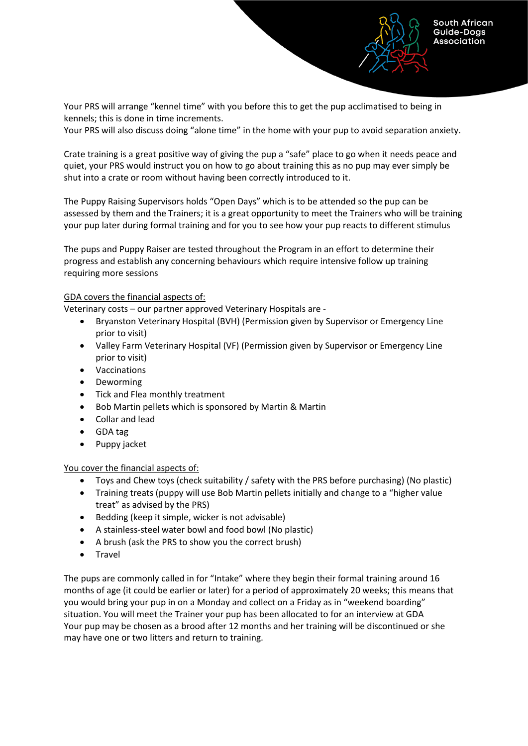South African Guide-Dogs Association

Your PRS will arrange "kennel time" with you before this to get the pup acclimatised to being in kennels; this is done in time increments.

Your PRS will also discuss doing "alone time" in the home with your pup to avoid separation anxiety.

Crate training is a great positive way of giving the pup a "safe" place to go when it needs peace and quiet, your PRS would instruct you on how to go about training this as no pup may ever simply be shut into a crate or room without having been correctly introduced to it.

The Puppy Raising Supervisors holds "Open Days" which is to be attended so the pup can be assessed by them and the Trainers; it is a great opportunity to meet the Trainers who will be training your pup later during formal training and for you to see how your pup reacts to different stimulus

The pups and Puppy Raiser are tested throughout the Program in an effort to determine their progress and establish any concerning behaviours which require intensive follow up training requiring more sessions

## GDA covers the financial aspects of:

Veterinary costs – our partner approved Veterinary Hospitals are -

- Bryanston Veterinary Hospital (BVH) (Permission given by Supervisor or Emergency Line prior to visit)
- Valley Farm Veterinary Hospital (VF) (Permission given by Supervisor or Emergency Line prior to visit)
- Vaccinations
- Deworming
- Tick and Flea monthly treatment
- Bob Martin pellets which is sponsored by Martin & Martin
- Collar and lead
- GDA tag
- Puppy jacket

## You cover the financial aspects of:

- Toys and Chew toys (check suitability / safety with the PRS before purchasing) (No plastic)
- Training treats (puppy will use Bob Martin pellets initially and change to a "higher value treat" as advised by the PRS)
- Bedding (keep it simple, wicker is not advisable)
- A stainless-steel water bowl and food bowl (No plastic)
- A brush (ask the PRS to show you the correct brush)
- Travel

The pups are commonly called in for "Intake" where they begin their formal training around 16 months of age (it could be earlier or later) for a period of approximately 20 weeks; this means that you would bring your pup in on a Monday and collect on a Friday as in "weekend boarding" situation. You will meet the Trainer your pup has been allocated to for an interview at GDA Your pup may be chosen as a brood after 12 months and her training will be discontinued or she may have one or two litters and return to training.